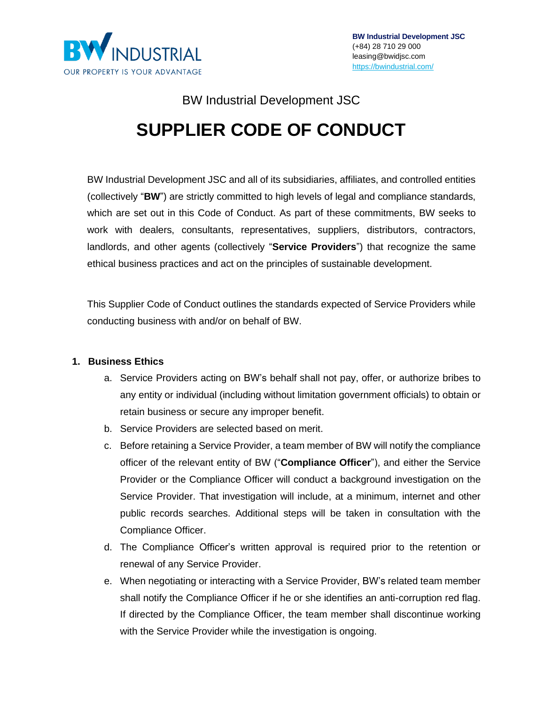

# BW Industrial Development JSC **SUPPLIER CODE OF CONDUCT**

BW Industrial Development JSC and all of its subsidiaries, affiliates, and controlled entities (collectively "**BW**") are strictly committed to high levels of legal and compliance standards, which are set out in this Code of Conduct. As part of these commitments, BW seeks to work with dealers, consultants, representatives, suppliers, distributors, contractors, landlords, and other agents (collectively "**Service Providers**") that recognize the same ethical business practices and act on the principles of sustainable development.

This Supplier Code of Conduct outlines the standards expected of Service Providers while conducting business with and/or on behalf of BW.

### **1. Business Ethics**

- a. Service Providers acting on BW's behalf shall not pay, offer, or authorize bribes to any entity or individual (including without limitation government officials) to obtain or retain business or secure any improper benefit.
- b. Service Providers are selected based on merit.
- c. Before retaining a Service Provider, a team member of BW will notify the compliance officer of the relevant entity of BW ("**Compliance Officer**"), and either the Service Provider or the Compliance Officer will conduct a background investigation on the Service Provider. That investigation will include, at a minimum, internet and other public records searches. Additional steps will be taken in consultation with the Compliance Officer.
- d. The Compliance Officer's written approval is required prior to the retention or renewal of any Service Provider.
- e. When negotiating or interacting with a Service Provider, BW's related team member shall notify the Compliance Officer if he or she identifies an anti-corruption red flag. If directed by the Compliance Officer, the team member shall discontinue working with the Service Provider while the investigation is ongoing.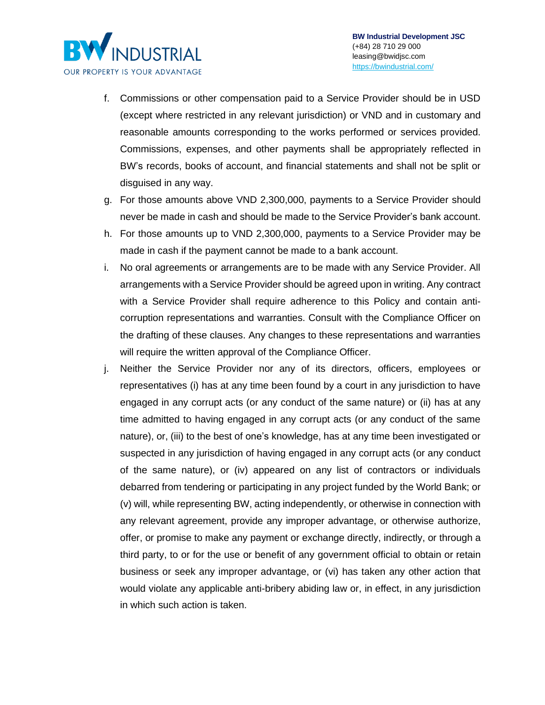

INDUSTRIAL

OUR PROPERTY IS YOUR ADVANTAGE

R

- g. For those amounts above VND 2,300,000, payments to a Service Provider should never be made in cash and should be made to the Service Provider's bank account.
- h. For those amounts up to VND 2,300,000, payments to a Service Provider may be made in cash if the payment cannot be made to a bank account.
- i. No oral agreements or arrangements are to be made with any Service Provider. All arrangements with a Service Provider should be agreed upon in writing. Any contract with a Service Provider shall require adherence to this Policy and contain anticorruption representations and warranties. Consult with the Compliance Officer on the drafting of these clauses. Any changes to these representations and warranties will require the written approval of the Compliance Officer.
- j. Neither the Service Provider nor any of its directors, officers, employees or representatives (i) has at any time been found by a court in any jurisdiction to have engaged in any corrupt acts (or any conduct of the same nature) or (ii) has at any time admitted to having engaged in any corrupt acts (or any conduct of the same nature), or, (iii) to the best of one's knowledge, has at any time been investigated or suspected in any jurisdiction of having engaged in any corrupt acts (or any conduct of the same nature), or (iv) appeared on any list of contractors or individuals debarred from tendering or participating in any project funded by the World Bank; or (v) will, while representing BW, acting independently, or otherwise in connection with any relevant agreement, provide any improper advantage, or otherwise authorize, offer, or promise to make any payment or exchange directly, indirectly, or through a third party, to or for the use or benefit of any government official to obtain or retain business or seek any improper advantage, or (vi) has taken any other action that would violate any applicable anti-bribery abiding law or, in effect, in any jurisdiction in which such action is taken.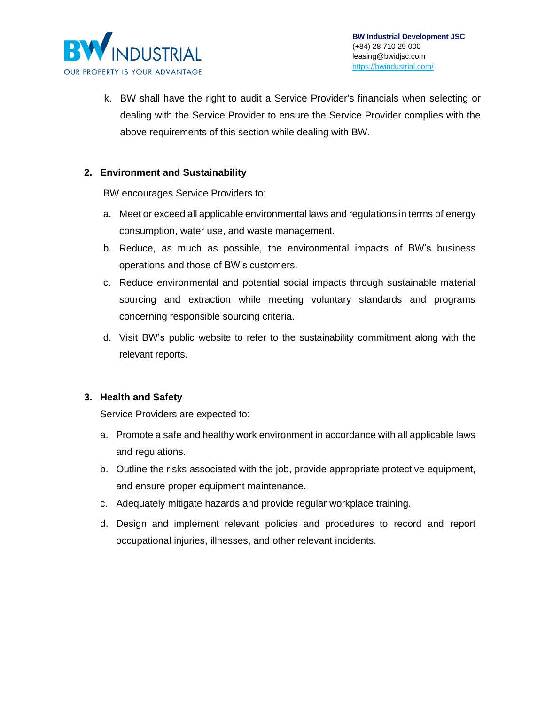

k. BW shall have the right to audit a Service Provider's financials when selecting or dealing with the Service Provider to ensure the Service Provider complies with the above requirements of this section while dealing with BW.

### **2. Environment and Sustainability**

BW encourages Service Providers to:

- a. Meet or exceed all applicable environmental laws and regulations in terms of energy consumption, water use, and waste management.
- b. Reduce, as much as possible, the environmental impacts of BW's business operations and those of BW's customers.
- c. Reduce environmental and potential social impacts through sustainable material sourcing and extraction while meeting voluntary standards and programs concerning responsible sourcing criteria.
- d. Visit BW's public [website](https://bwindustrial.com/) to refer to the sustainability commitment along with the relevant reports.

### **3. Health and Safety**

Service Providers are expected to:

- a. Promote a safe and healthy work environment in accordance with all applicable laws and regulations.
- b. Outline the risks associated with the job, provide appropriate protective equipment, and ensure proper equipment maintenance.
- c. Adequately mitigate hazards and provide regular workplace training.
- d. Design and implement relevant policies and procedures to record and report occupational injuries, illnesses, and other relevant incidents.